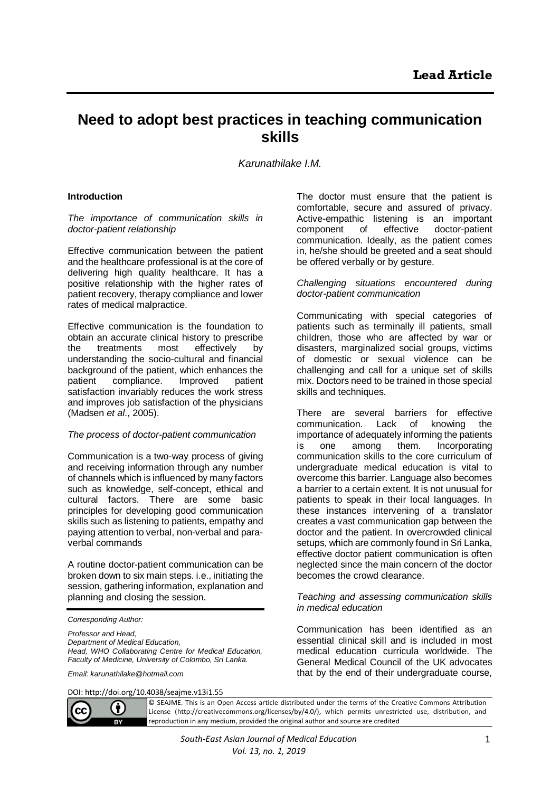# **Need to adopt best practices in teaching communication skills**

*Karunathilake I.M.*

## **Introduction**

*The importance of communication skills in doctor-patient relationship*

Effective communication between the patient and the healthcare professional is at the core of delivering high quality healthcare. It has a positive relationship with the higher rates of patient recovery, therapy compliance and lower rates of medical malpractice.

Effective communication is the foundation to obtain an accurate clinical history to prescribe the treatments most effectively by understanding the socio-cultural and financial background of the patient, which enhances the patient compliance. Improved patient satisfaction invariably reduces the work stress and improves job satisfaction of the physicians (Madsen *et al*., 2005).

## *The process of doctor-patient communication*

Communication is a two-way process of giving and receiving information through any number of channels which is influenced by many factors such as knowledge, self-concept, ethical and cultural factors. There are some basic principles for developing good communication skills such as listening to patients, empathy and paying attention to verbal, non-verbal and paraverbal commands

A routine doctor-patient communication can be broken down to six main steps. i.e., initiating the session, gathering information, explanation and planning and closing the session.

*Corresponding Author:*

*Professor and Head, Department of Medical Education, Head, WHO Collaborating Centre for Medical Education, Faculty of Medicine, University of Colombo, Sri Lanka.*

*Email: karunathilake@hotmail.com*

The doctor must ensure that the patient is comfortable, secure and assured of privacy. Active-empathic listening is an important component of effective doctor-patient communication. Ideally, as the patient comes in, he/she should be greeted and a seat should be offered verbally or by gesture.

*Challenging situations encountered during doctor-patient communication*

Communicating with special categories of patients such as terminally ill patients, small children, those who are affected by war or disasters, marginalized social groups, victims of domestic or sexual violence can be challenging and call for a unique set of skills mix. Doctors need to be trained in those special skills and techniques.

There are several barriers for effective communication. Lack of knowing the importance of adequately informing the patients is one among them. Incorporating communication skills to the core curriculum of undergraduate medical education is vital to overcome this barrier. Language also becomes a barrier to a certain extent. It is not unusual for patients to speak in their local languages. In these instances intervening of a translator creates a vast communication gap between the doctor and the patient. In overcrowded clinical setups, which are commonly found in Sri Lanka, effective doctor patient communication is often neglected since the main concern of the doctor becomes the crowd clearance.

#### *Teaching and assessing communication skills in medical education*

Communication has been identified as an essential clinical skill and is included in most medical education curricula worldwide. The General Medical Council of the UK advocates that by the end of their undergraduate course,

DOI: http://doi.org/10.4038/seajme.v13i1.55



© SEAJME. This is an Open Access article distributed under the terms of the Creative Commons Attribution License (http://creativecommons.org/licenses/by/4.0/), which permits unrestricted use, distribution, and reproduction in any medium, provided the original author and source are credited